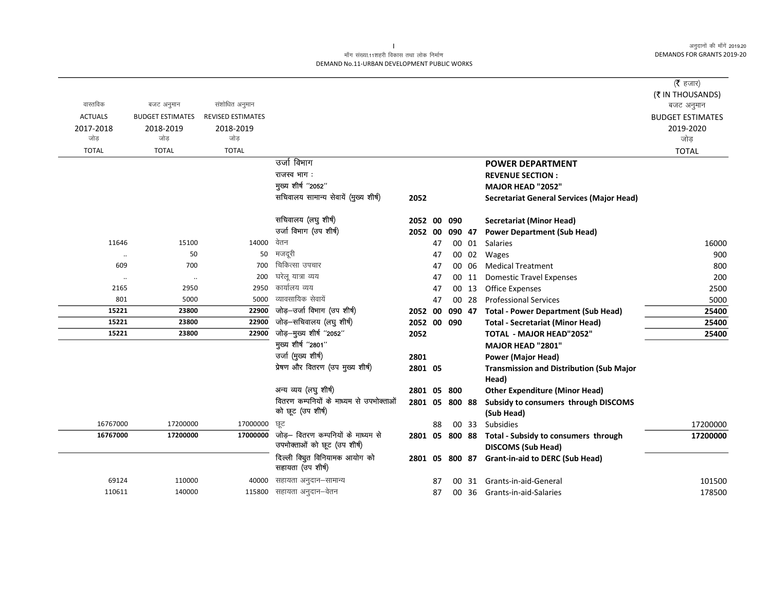#### माँग संख्या.11शहरी विकास तथा लोक निर्माण DEMAND No.11-URBAN DEVELOPMENT PUBLIC WORKS

|                |                         |                          |                                                                    |         |    |        |       |                                                                   | ( $\bar{\tau}$ हजार)<br>(₹ IN THOUSANDS) |
|----------------|-------------------------|--------------------------|--------------------------------------------------------------------|---------|----|--------|-------|-------------------------------------------------------------------|------------------------------------------|
| वास्तविक       | बजट अनुमान              | संशोधित अनुमान           |                                                                    |         |    |        |       |                                                                   | बजट अनुमान                               |
| <b>ACTUALS</b> | <b>BUDGET ESTIMATES</b> | <b>REVISED ESTIMATES</b> |                                                                    |         |    |        |       |                                                                   | <b>BUDGET ESTIMATES</b>                  |
| 2017-2018      | 2018-2019               | 2018-2019                |                                                                    |         |    |        |       |                                                                   | 2019-2020                                |
| जोड            | जोड                     | जोड                      |                                                                    |         |    |        |       |                                                                   | जोड़                                     |
| <b>TOTAL</b>   | <b>TOTAL</b>            | <b>TOTAL</b>             |                                                                    |         |    |        |       |                                                                   | <b>TOTAL</b>                             |
|                |                         |                          | उर्जा विभाग                                                        |         |    |        |       | <b>POWER DEPARTMENT</b>                                           |                                          |
|                |                         |                          | राजस्व भाग:                                                        |         |    |        |       | <b>REVENUE SECTION:</b>                                           |                                          |
|                |                         |                          | मुख्य शीर्ष "2052"                                                 |         |    |        |       | <b>MAJOR HEAD "2052"</b>                                          |                                          |
|                |                         |                          | सचिवालय सामान्य सेवायें (मुख्य शीर्ष)                              | 2052    |    |        |       | <b>Secretariat General Services (Major Head)</b>                  |                                          |
|                |                         |                          | सचिवालय (लघु शीर्ष)                                                | 2052 00 |    | 090    |       | <b>Secretariat (Minor Head)</b>                                   |                                          |
|                |                         |                          | उर्जा विभाग (उप शीर्ष)                                             | 2052    | 00 | 090 47 |       | <b>Power Department (Sub Head)</b>                                |                                          |
| 11646          | 15100                   | 14000                    | वेतन                                                               |         | 47 |        | 00 01 | Salaries                                                          | 16000                                    |
| $\cdot \cdot$  | 50                      | 50                       | मजदूरी                                                             |         | 47 |        | 00 02 | Wages                                                             | 900                                      |
| 609            | 700                     | 700                      | चिकित्सा उपचार                                                     |         | 47 |        | 00 06 | <b>Medical Treatment</b>                                          | 800                                      |
| $\ldots$       | $\ldots$                | 200                      | घरेलू यात्रा व्यय                                                  |         | 47 |        | 00 11 | <b>Domestic Travel Expenses</b>                                   | 200                                      |
| 2165           | 2950                    | 2950                     | कार्यालय व्यय                                                      |         | 47 |        | 00 13 | <b>Office Expenses</b>                                            | 2500                                     |
| 801            | 5000                    | 5000                     | व्यावसायिक सेवायें                                                 |         | 47 |        | 00 28 | <b>Professional Services</b>                                      | 5000                                     |
| 15221          | 23800                   | 22900                    | जोड़-उर्जा विभाग (उप शीर्ष)                                        | 2052 00 |    | 090 47 |       | <b>Total - Power Department (Sub Head)</b>                        | 25400                                    |
| 15221          | 23800                   | 22900                    | जोड़-सचिवालय (लघु शीर्ष)                                           | 2052 00 |    | 090    |       | <b>Total - Secretariat (Minor Head)</b>                           | 25400                                    |
| 15221          | 23800                   | 22900                    | जोड़-मुख्य शीर्ष "2052"                                            | 2052    |    |        |       | <b>TOTAL - MAJOR HEAD"2052"</b>                                   | 25400                                    |
|                |                         |                          | मुख्य शीर्ष "2801"<br>उर्जा (मुख्य शीर्ष)                          |         |    |        |       | <b>MAJOR HEAD "2801"</b>                                          |                                          |
|                |                         |                          | प्रेषण और वितरण (उप मुख्य शीर्ष)                                   | 2801    |    |        |       | <b>Power (Major Head)</b>                                         |                                          |
|                |                         |                          |                                                                    | 2801 05 |    |        |       | <b>Transmission and Distribution (Sub Major</b><br>Head)          |                                          |
|                |                         |                          | अन्य व्यय (लघु शीर्ष)                                              | 2801 05 |    | 800    |       | <b>Other Expenditure (Minor Head)</b>                             |                                          |
|                |                         |                          | वितरण कम्पनियों के माध्यम से उपभोक्ताओं                            | 2801 05 |    | 800 88 |       | Subsidy to consumers through DISCOMS                              |                                          |
|                |                         |                          | को छूट (उप शीर्ष)                                                  |         |    |        |       | (Sub Head)                                                        |                                          |
| 16767000       | 17200000                | 17000000                 | छूट                                                                |         | 88 |        | 00 33 | <b>Subsidies</b>                                                  | 17200000                                 |
| 16767000       | 17200000                | 17000000                 | जोड़- वितरण कम्पनियों के माध्यम से<br>उपभोक्ताओं को छूट (उप शीर्ष) | 2801 05 |    | 800 88 |       | Total - Subsidy to consumers through<br><b>DISCOMS (Sub Head)</b> | 17200000                                 |
|                |                         |                          | दिल्ली क्यिूत विनियामक आयोग को<br>सहायता (उप शीर्ष)                | 2801 05 |    | 800 87 |       | <b>Grant-in-aid to DERC (Sub Head)</b>                            |                                          |
| 69124          |                         |                          |                                                                    |         |    |        |       |                                                                   |                                          |
|                | 110000                  | 40000                    | सहायता अनुदान–सामान्य<br>सहायता अनुदान–वेतन                        |         | 87 | OO.    | 31    | Grants-in-aid-General                                             | 101500                                   |
| 110611         | 140000                  | 115800                   |                                                                    |         | 87 |        | 00 36 | Grants-in-aid-Salaries                                            | 178500                                   |

 $\mathbf{L}$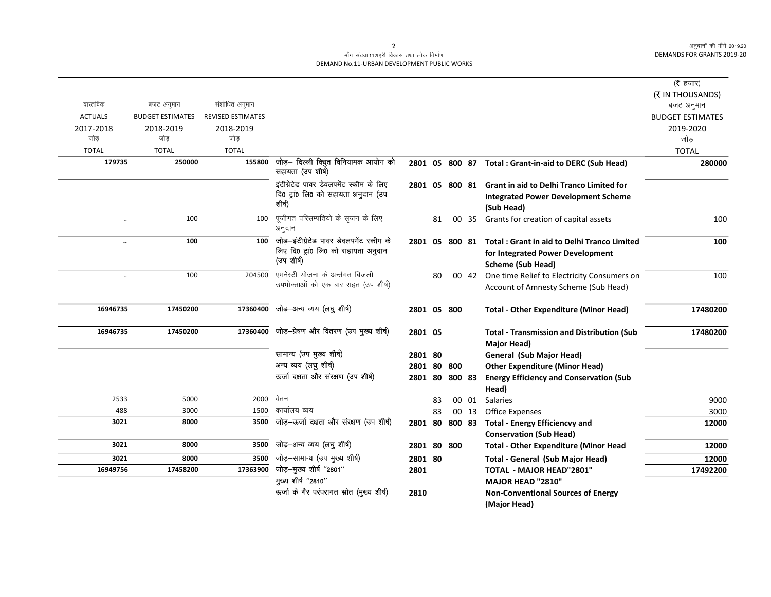## माँग संख्या.11शहरी विकास तथा लोक निर्माण DEMAND No.11-URBAN DEVELOPMENT PUBLIC WORKS

|                      |                         |                          |                                                          |             |    |                |       |                                                         | ( $\bar{\tau}$ हजार)    |
|----------------------|-------------------------|--------------------------|----------------------------------------------------------|-------------|----|----------------|-------|---------------------------------------------------------|-------------------------|
|                      |                         |                          |                                                          |             |    |                |       |                                                         | (₹ IN THOUSANDS)        |
| वास्तविक             | बजट अनुमान              | संशोधित अनुमान           |                                                          |             |    |                |       |                                                         | बजट अनुमान              |
| <b>ACTUALS</b>       | <b>BUDGET ESTIMATES</b> | <b>REVISED ESTIMATES</b> |                                                          |             |    |                |       |                                                         | <b>BUDGET ESTIMATES</b> |
| 2017-2018            | 2018-2019               | 2018-2019                |                                                          |             |    |                |       |                                                         | 2019-2020               |
| जोड                  | जोड                     | जोड                      |                                                          |             |    |                |       |                                                         | जोड                     |
| <b>TOTAL</b>         | <b>TOTAL</b>            | <b>TOTAL</b>             |                                                          |             |    |                |       |                                                         | <b>TOTAL</b>            |
| 179735               | 250000                  | 155800                   | जोड़— दिल्ली विचुत विनियामक आयोग को<br>सहायता (उप शीर्ष) |             |    |                |       | 2801 05 800 87 Total : Grant-in-aid to DERC (Sub Head)  | 280000                  |
|                      |                         |                          | इंटीग्रेटेड पावर डेवलपमेंट स्कीम के लिए                  |             |    |                |       | 2801 05 800 81 Grant in aid to Delhi Tranco Limited for |                         |
|                      |                         |                          | दि0 ट्रां0 लि0 को सहायता अनुदान (उप                      |             |    |                |       | <b>Integrated Power Development Scheme</b>              |                         |
|                      |                         |                          | शीर्ष)                                                   |             |    |                |       | (Sub Head)                                              |                         |
| $\ddotsc$            | 100                     | 100                      | पूंजीगत परिसम्पतियो के सृजन के लिए<br>अनुदान             |             | 81 |                | 00 35 | Grants for creation of capital assets                   | 100                     |
| $\ddot{\phantom{0}}$ | 100                     | 100                      | जोड़-इंटीग्रेटेड पावर डेवलपमेंट स्कीम के                 |             |    | 2801 05 800 81 |       | <b>Total: Grant in aid to Delhi Tranco Limited</b>      | 100                     |
|                      |                         |                          | लिए दि0 ट्रां0 लि0 को सहायता अनुदान<br>(उप शीर्ष)        |             |    |                |       | for Integrated Power Development                        |                         |
|                      |                         |                          |                                                          |             |    |                |       | <b>Scheme (Sub Head)</b>                                |                         |
| $\ldots$             | 100                     | 204500                   | एमनेस्टी योजना के अर्न्तगत बिजली                         |             | 80 |                | 00 42 | One time Relief to Electricity Consumers on             | 100                     |
|                      |                         |                          | उपभोक्ताओं को एक बार राहत (उप शीर्ष)                     |             |    |                |       | Account of Amnesty Scheme (Sub Head)                    |                         |
| 16946735             | 17450200                |                          | 17360400 जोड़-अन्य व्यय (लघु शीर्ष)                      | 2801 05 800 |    |                |       | <b>Total - Other Expenditure (Minor Head)</b>           | 17480200                |
| 16946735             | 17450200                |                          | 17360400 जोड़-प्रेषण और वितरण (उप मुख्य शीर्ष)           | 2801 05     |    |                |       | <b>Total - Transmission and Distribution (Sub</b>       | 17480200                |
|                      |                         |                          |                                                          |             |    |                |       | Major Head)                                             |                         |
|                      |                         |                          | सामान्य (उप मुख्य शीर्ष)                                 | 2801 80     |    |                |       | <b>General (Sub Major Head)</b>                         |                         |
|                      |                         |                          | अन्य व्यय (लघु शीर्ष)                                    | 2801 80 800 |    |                |       | <b>Other Expenditure (Minor Head)</b>                   |                         |
|                      |                         |                          | ऊर्जा दक्षता और संरक्षण (उप शीर्ष)                       | 2801 80     |    | 800 83         |       | <b>Energy Efficiency and Conservation (Sub</b>          |                         |
|                      |                         |                          |                                                          |             |    |                |       | Head)                                                   |                         |
| 2533                 | 5000                    | 2000                     | वेतन                                                     |             | 83 |                | 00 01 | <b>Salaries</b>                                         | 9000                    |
| 488                  | 3000                    | 1500                     | कार्यालय व्यय                                            |             | 83 |                | 00 13 | <b>Office Expenses</b>                                  | 3000                    |
| 3021                 | 8000                    | 3500                     | जोड़-ऊर्जा दक्षता और संरक्षण (उप शीर्ष)                  | 2801 80     |    | 800 83         |       | <b>Total - Energy Efficiencvy and</b>                   | 12000                   |
|                      |                         |                          |                                                          |             |    |                |       | <b>Conservation (Sub Head)</b>                          |                         |
| 3021                 | 8000                    | 3500                     | जोड़-अन्य व्यय (लघु शीर्ष)                               | 2801 80     |    | 800            |       | <b>Total - Other Expenditure (Minor Head</b>            | 12000                   |
| 3021                 | 8000                    | 3500                     | जोड़-सामान्य (उप मुख्य शीर्ष)                            | 2801 80     |    |                |       | <b>Total - General (Sub Major Head)</b>                 | 12000                   |
| 16949756             | 17458200                | 17363900                 | जोड़-मुख्य शीर्ष "2801"                                  | 2801        |    |                |       | <b>TOTAL - MAJOR HEAD"2801"</b>                         | 17492200                |
|                      |                         |                          | मुख्य शीर्ष "2810"                                       |             |    |                |       | <b>MAJOR HEAD "2810"</b>                                |                         |
|                      |                         |                          | ऊर्जा के गैर परंपरागत स्रोत (मुख्य शीर्ष)                | 2810        |    |                |       | <b>Non-Conventional Sources of Energy</b>               |                         |
|                      |                         |                          |                                                          |             |    |                |       | (Major Head)                                            |                         |

 $\overline{2}$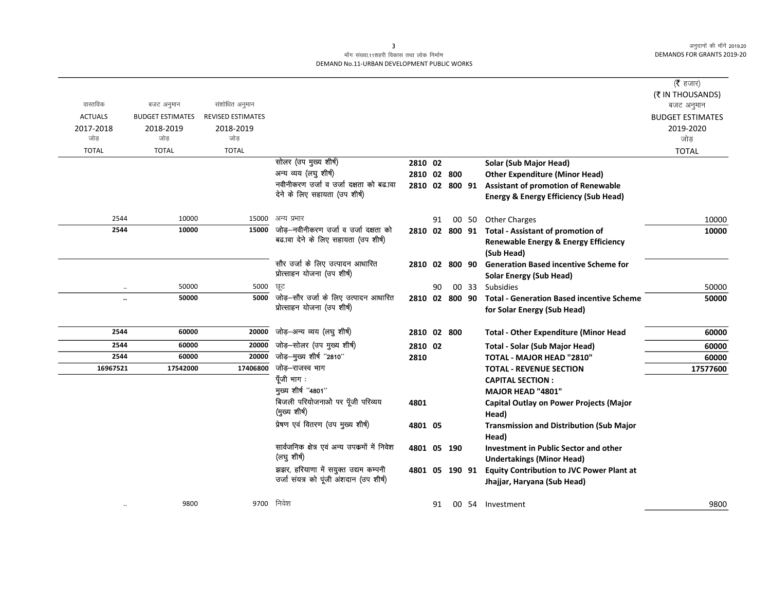## माँग संख्या.11शहरी विकास तथा लोक निर्माण DEMAND No.11-URBAN DEVELOPMENT PUBLIC WORKS

|                                    |                                             |                                               |                                                                                 |                |    |       |                                                                                                                   | ( $\bar{\tau}$ हजार)<br>(₹ IN THOUSANDS)     |
|------------------------------------|---------------------------------------------|-----------------------------------------------|---------------------------------------------------------------------------------|----------------|----|-------|-------------------------------------------------------------------------------------------------------------------|----------------------------------------------|
| वास्तविक                           | बजट अनुमान                                  | संशोधित अनुमान                                |                                                                                 |                |    |       |                                                                                                                   | बजट अनुमान                                   |
| <b>ACTUALS</b><br>2017-2018<br>जोड | <b>BUDGET ESTIMATES</b><br>2018-2019<br>जोड | <b>REVISED ESTIMATES</b><br>2018-2019<br>जोड़ |                                                                                 |                |    |       |                                                                                                                   | <b>BUDGET ESTIMATES</b><br>2019-2020<br>जोड़ |
| <b>TOTAL</b>                       | <b>TOTAL</b>                                | <b>TOTAL</b>                                  |                                                                                 |                |    |       |                                                                                                                   | <b>TOTAL</b>                                 |
|                                    |                                             |                                               | सोलर (उप मुख्य शीर्ष)                                                           | 2810 02        |    |       | Solar (Sub Major Head)                                                                                            |                                              |
|                                    |                                             |                                               | अन्य व्यय (लघु शीर्ष)                                                           | 2810 02 800    |    |       | <b>Other Expenditure (Minor Head)</b>                                                                             |                                              |
|                                    |                                             |                                               | नवीनीकरण उर्जा व उर्जा दक्षता को बढ.ावा                                         |                |    |       | 2810 02 800 91 Assistant of promotion of Renewable                                                                |                                              |
|                                    |                                             |                                               | देने के लिए सहायता (उप शीर्ष)                                                   |                |    |       | <b>Energy &amp; Energy Efficiency (Sub Head)</b>                                                                  |                                              |
| 2544                               | 10000                                       | 15000                                         | अन्य प्रभार                                                                     |                | 91 |       | 00 50 Other Charges                                                                                               | 10000                                        |
| 2544                               | 10000                                       | 15000                                         | जोड़-नवीनीकरण उर्जा व उर्जा दक्षता को<br>बढ.ावा देने के लिए सहायता (उप शीर्ष)   |                |    |       | 2810 02 800 91 Total - Assistant of promotion of<br><b>Renewable Energy &amp; Energy Efficiency</b><br>(Sub Head) | 10000                                        |
|                                    |                                             |                                               | सौर उर्जा के लिए उत्पादन आधारित<br>प्रोत्साहन योजना (उप शीर्ष)                  | 2810 02 800 90 |    |       | <b>Generation Based incentive Scheme for</b><br><b>Solar Energy (Sub Head)</b>                                    |                                              |
|                                    | 50000                                       | 5000                                          | ਯੂਟ                                                                             |                | 90 | 00 33 | Subsidies                                                                                                         | 50000                                        |
| $\ddot{\phantom{a}}$               | 50000                                       | 5000                                          | जोड़–सौर उर्जा के लिए उत्पादन आधारित<br>प्रोत्साहन योजना (उप शीर्ष)             | 2810 02 800 90 |    |       | <b>Total - Generation Based incentive Scheme</b><br>for Solar Energy (Sub Head)                                   | 50000                                        |
| 2544                               | 60000                                       | 20000                                         | जोड़—अन्य व्यय (लघु शीर्ष)                                                      | 2810 02 800    |    |       | <b>Total - Other Expenditure (Minor Head</b>                                                                      | 60000                                        |
| 2544                               | 60000                                       | 20000                                         | जोड़-सोलर (उप मुख्य शीर्ष)                                                      | 2810 02        |    |       | <b>Total - Solar (Sub Major Head)</b>                                                                             | 60000                                        |
| 2544                               | 60000                                       | 20000                                         | जोड़-मुख्य शीर्ष "2810"                                                         | 2810           |    |       | TOTAL - MAJOR HEAD "2810"                                                                                         | 60000                                        |
| 16967521                           | 17542000                                    | 17406800                                      | जोड़-राजस्व भाग                                                                 |                |    |       | <b>TOTAL - REVENUE SECTION</b>                                                                                    | 17577600                                     |
|                                    |                                             |                                               | पूँजी भाग:                                                                      |                |    |       | <b>CAPITAL SECTION:</b>                                                                                           |                                              |
|                                    |                                             |                                               | मुख्य शीर्ष "4801"                                                              |                |    |       | MAJOR HEAD "4801"                                                                                                 |                                              |
|                                    |                                             |                                               | बिजली परियोजनाओ पर पूँजी परिव्यय<br>(मुख्य शीर्ष)                               | 4801           |    |       | <b>Capital Outlay on Power Projects (Major</b><br>Head)                                                           |                                              |
|                                    |                                             |                                               | प्रेषण एवं वितरण (उप मुख्य शीर्ष)                                               | 4801 05        |    |       | <b>Transmission and Distribution (Sub Major</b><br>Head)                                                          |                                              |
|                                    |                                             |                                               | सार्वजनिक क्षेत्र एवं अन्य उपक्रमों में निवेश<br>(लघु शीर्ष)                    | 4801 05 190    |    |       | <b>Investment in Public Sector and other</b><br><b>Undertakings (Minor Head)</b>                                  |                                              |
|                                    |                                             |                                               | झझर, हरियाणा में सयुक्त उद्यम कम्पनी<br>उर्जा संयत्र को पूंजी अंशदान (उप शीर्ष) | 4801 05 190 91 |    |       | <b>Equity Contribution to JVC Power Plant at</b><br>Jhajjar, Haryana (Sub Head)                                   |                                              |
| $\ddotsc$                          | 9800                                        | 9700                                          | निवेश                                                                           |                | 91 |       | 00 54 Investment                                                                                                  | 9800                                         |

 $\overline{\mathbf{3}}$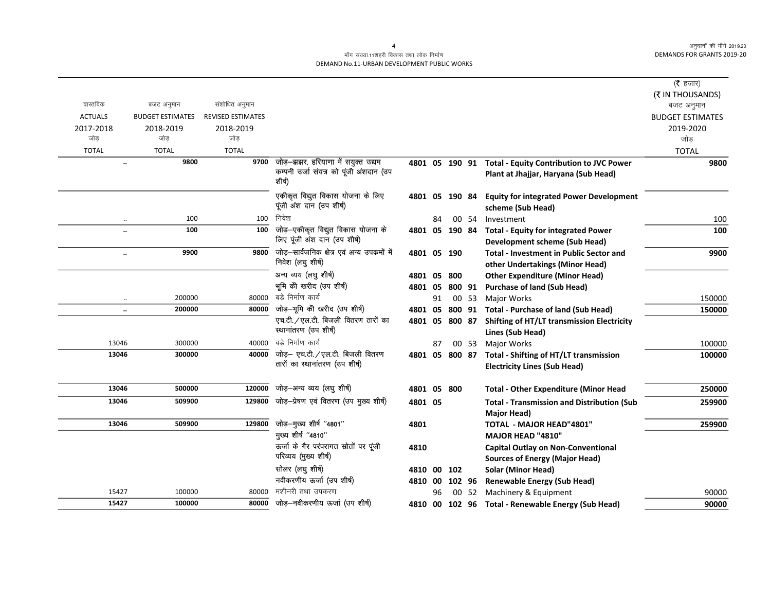#### माँग संख्या.11शहरी विकास तथा लोक निर्माण DEMAND No.11-URBAN DEVELOPMENT PUBLIC WORKS

|                                   |                         |                          |                                                                   |                |    |        |        |                                                                                              | ( $\bar{\tau}$ हजार)<br>(₹ IN THOUSANDS) |
|-----------------------------------|-------------------------|--------------------------|-------------------------------------------------------------------|----------------|----|--------|--------|----------------------------------------------------------------------------------------------|------------------------------------------|
| वास्तविक                          | बजट अनुमान              | संशोधित अनुमान           |                                                                   |                |    |        |        |                                                                                              | बजट अनुमान                               |
| <b>ACTUALS</b>                    | <b>BUDGET ESTIMATES</b> | <b>REVISED ESTIMATES</b> |                                                                   |                |    |        |        |                                                                                              | <b>BUDGET ESTIMATES</b>                  |
| 2017-2018                         | 2018-2019               | 2018-2019                |                                                                   |                |    |        |        |                                                                                              | 2019-2020                                |
| जोड                               | जोड                     | जोड                      |                                                                   |                |    |        |        |                                                                                              | जोड़                                     |
| <b>TOTAL</b>                      | <b>TOTAL</b>            | <b>TOTAL</b>             |                                                                   |                |    |        |        |                                                                                              | <b>TOTAL</b>                             |
| $\ddot{\phantom{a}}$              | 9800                    | 9700                     | जोड़-झझर, हरियाणा में सयुक्त उद्यम                                |                |    |        |        | 4801 05 190 91 Total - Equity Contribution to JVC Power                                      | 9800                                     |
|                                   |                         |                          | कम्पनी उर्जा संयत्र को पूंजी अंशदान (उप<br>शीर्ष)                 |                |    |        |        | Plant at Jhajjar, Haryana (Sub Head)                                                         |                                          |
|                                   |                         |                          | एकीकृत विद्युत विकास योजना के लिए<br>पूंजी अंश दान (उप शीर्ष)     | 4801 05        |    | 190 84 |        | <b>Equity for integrated Power Development</b>                                               |                                          |
|                                   | 100                     | 100                      | निवेश                                                             |                | 84 |        | 00 54  | scheme (Sub Head)<br>Investment                                                              | 100                                      |
| $\ddotsc$<br>$\ddot{\phantom{a}}$ | 100                     | 100                      | जोड़-एकीकृत विद्युत विकास योजना के                                |                |    |        |        | 4801 05 190 84 Total - Equity for integrated Power                                           | 100                                      |
|                                   |                         |                          | लिए पूंजी अंश दान (उप शीर्ष)                                      |                |    |        |        | Development scheme (Sub Head)                                                                |                                          |
| $\ddot{\phantom{0}}$              | 9900                    | 9800                     | जोड़-सार्वजनिक क्षेत्र एवं अन्य उपक्रमों में<br>निवेश (लघु शीर्ष) | 4801 05 190    |    |        |        | <b>Total - Investment in Public Sector and</b><br>other Undertakings (Minor Head)            | 9900                                     |
|                                   |                         |                          | अन्य व्यय (लघु शीर्ष)                                             | 4801 05        |    | 800    |        | <b>Other Expenditure (Minor Head)</b>                                                        |                                          |
|                                   |                         |                          | भूमि को खरीद (उप शीर्ष)                                           | 4801 05        |    |        | 800 91 | <b>Purchase of land (Sub Head)</b>                                                           |                                          |
| $\ddotsc$                         | 200000                  | 80000                    | बडे निर्माण कार्य                                                 |                | 91 |        | 00 53  | Major Works                                                                                  | 150000                                   |
| $\ddot{\phantom{0}}$              | 200000                  | 80000                    | जोड़-भूमि को खरीद (उप शीर्ष)                                      | 4801           | 05 |        |        | 800 91 Total - Purchase of land (Sub Head)                                                   | 150000                                   |
|                                   |                         |                          | एच.टी. / एल.टी. बिजली वितरण तारों का<br>स्थानांतरण (उप शीर्ष)     | 4801 05 800 87 |    |        |        | <b>Shifting of HT/LT transmission Electricity</b><br>Lines (Sub Head)                        |                                          |
| 13046                             | 300000                  | 40000                    | बडे निर्माण कार्य                                                 |                | 87 |        | 00 53  | <b>Major Works</b>                                                                           | 100000                                   |
| 13046                             | 300000                  | 40000                    | जोड़- एच.टी./एल.टी. बिजली वितरण<br>तारों का स्थानांतरण (उप शीर्ष) |                |    |        |        | 4801 05 800 87 Total - Shifting of HT/LT transmission<br><b>Electricity Lines (Sub Head)</b> | 100000                                   |
| 13046                             | 500000                  | 120000                   | जोड़-अन्य व्यय (लघु शीर्ष)                                        | 4801 05        |    | 800    |        | <b>Total - Other Expenditure (Minor Head</b>                                                 | 250000                                   |
| 13046                             | 509900                  | 129800                   | जोड़-प्रेषण एवं वितरण (उप मुख्य शीर्ष)                            | 4801 05        |    |        |        | <b>Total - Transmission and Distribution (Sub</b>                                            | 259900                                   |
| 13046                             | 509900                  | 129800                   | जोड़-मुख्य शीर्ष "4801"                                           | 4801           |    |        |        | Major Head)<br><b>TOTAL - MAJOR HEAD"4801"</b>                                               | 259900                                   |
|                                   |                         |                          | मुख्य शीर्ष "4810"                                                |                |    |        |        | MAJOR HEAD "4810"                                                                            |                                          |
|                                   |                         |                          | ऊर्जा के गैर परंपरागत स्रोतों पर पूंजी                            | 4810           |    |        |        | <b>Capital Outlay on Non-Conventional</b>                                                    |                                          |
|                                   |                         |                          | परिव्यय (मुख्य शीर्ष)                                             |                |    |        |        | <b>Sources of Energy (Major Head)</b>                                                        |                                          |
|                                   |                         |                          | सोलर (लघु शीर्ष)                                                  | 4810 00        |    | 102    |        | Solar (Minor Head)                                                                           |                                          |
|                                   |                         |                          | नवीकरणीय ऊर्जा (उप शीर्ष)                                         | 4810 00        |    | 102 96 |        | <b>Renewable Energy (Sub Head)</b>                                                           |                                          |
| 15427                             | 100000                  | 80000                    | मशीनरी तथा उपकरण                                                  |                | 96 | 00     | 52     | Machinery & Equipment                                                                        | 90000                                    |
| 15427                             | 100000                  | 80000                    | जोड़-नवीकरणीय ऊर्जा (उप शीर्ष)                                    |                |    |        |        | 4810 00 102 96 Total - Renewable Energy (Sub Head)                                           | 90000                                    |

4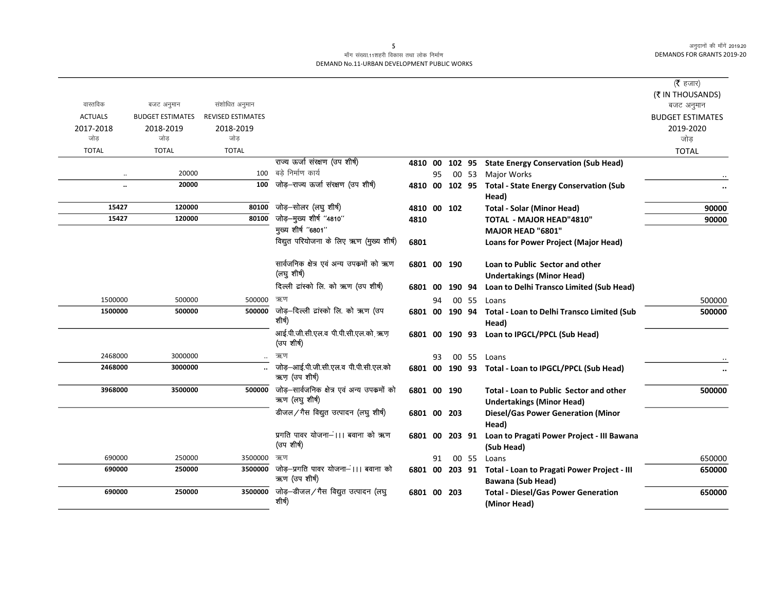## माँग संख्या.11शहरी विकास तथा लोक निर्माण DEMAND No.11-URBAN DEVELOPMENT PUBLIC WORKS

|                      |                         |                          |                                                              |             |    |                |       |                                                                                        | ( $\bar{\tau}$ हजार)<br>(₹ IN THOUSANDS) |
|----------------------|-------------------------|--------------------------|--------------------------------------------------------------|-------------|----|----------------|-------|----------------------------------------------------------------------------------------|------------------------------------------|
| वास्तविक             | बजट अनुमान              | संशोधित अनुमान           |                                                              |             |    |                |       |                                                                                        | बजट अनुमान                               |
| <b>ACTUALS</b>       | <b>BUDGET ESTIMATES</b> | <b>REVISED ESTIMATES</b> |                                                              |             |    |                |       |                                                                                        | <b>BUDGET ESTIMATES</b>                  |
| 2017-2018<br>जोड     | 2018-2019<br>जोड        | 2018-2019<br>जोड         |                                                              |             |    |                |       |                                                                                        | 2019-2020<br>जोड                         |
| <b>TOTAL</b>         | <b>TOTAL</b>            | <b>TOTAL</b>             |                                                              |             |    |                |       |                                                                                        | <b>TOTAL</b>                             |
|                      |                         |                          | राज्य ऊर्जा संरक्षण (उप शीर्ष)                               | 4810 00     |    | 102 95         |       | <b>State Energy Conservation (Sub Head)</b>                                            |                                          |
|                      | 20000                   | 100                      | बडे निर्माण कार्य                                            |             | 95 |                | 00 53 | <b>Major Works</b>                                                                     |                                          |
| $\ddot{\phantom{a}}$ | 20000                   | 100                      | जोड़-राज्य ऊर्जा संरक्षण (उप शीर्ष)                          |             |    | 4810 00 102 95 |       | <b>Total - State Energy Conservation (Sub</b>                                          |                                          |
|                      |                         |                          |                                                              |             |    |                |       | Head)                                                                                  |                                          |
| 15427                | 120000                  | 80100                    | जोड़–सोलर (लघु शीर्ष)                                        | 4810 00 102 |    |                |       | <b>Total - Solar (Minor Head)</b>                                                      | 90000                                    |
| 15427                | 120000                  | 80100                    | जोड़-मुख्य शीर्ष "4810"                                      | 4810        |    |                |       | <b>TOTAL - MAJOR HEAD"4810"</b>                                                        | 90000                                    |
|                      |                         |                          | मुख्य शीर्ष "6801"                                           |             |    |                |       | MAJOR HEAD "6801"                                                                      |                                          |
|                      |                         |                          | विद्युत परियोजना के लिए ऋण (मुख्य शीर्ष)                     | 6801        |    |                |       | Loans for Power Project (Major Head)                                                   |                                          |
|                      |                         |                          | सार्वजनिक क्षेत्र एवं अन्य उपकर्मो को ऋण                     | 6801 00 190 |    |                |       | Loan to Public Sector and other                                                        |                                          |
|                      |                         |                          | (लघु शीर्ष)                                                  |             |    |                |       | <b>Undertakings (Minor Head)</b>                                                       |                                          |
|                      |                         |                          | दिल्ली ट्रांस्को लि. को ऋण (उप शीर्ष)                        | 6801 00     |    | 190 94         |       | Loan to Delhi Transco Limited (Sub Head)                                               |                                          |
| 1500000              | 500000                  | 500000                   | ऋण                                                           |             | 94 |                | 00 55 | Loans                                                                                  | 500000                                   |
| 1500000              | 500000                  | 500000                   | जोड़–दिल्ली टांस्को लि. को ऋण (उप<br>शीर्ष)                  |             |    |                |       | 6801 00 190 94 Total - Loan to Delhi Transco Limited (Sub<br>Head)                     | 500000                                   |
|                      |                         |                          | आई.पी.जी.सी.एल.व पी.पी.सी.एल.को ऋण<br>(उप शीर्ष)             |             |    | 6801 00 190 93 |       | Loan to IPGCL/PPCL (Sub Head)                                                          |                                          |
| 2468000              | 3000000                 | $\ddotsc$                | ऋण                                                           |             | 93 |                |       | 00 55 Loans                                                                            |                                          |
| 2468000              | 3000000                 |                          | जोड़-आई.पी.जी.सी.एल.व पी.पी.सी.एल.को<br>ऋण (उप शीर्ष)        |             |    |                |       | 6801 00 190 93 Total - Loan to IPGCL/PPCL (Sub Head)                                   |                                          |
| 3968000              | 3500000                 | 500000                   | जोड़-सार्वजनिक क्षेत्र एवं अन्य उपक्रमों को<br>ऋण (लघुशीर्ष) | 6801 00 190 |    |                |       | <b>Total - Loan to Public Sector and other</b><br><b>Undertakings (Minor Head)</b>     | 500000                                   |
|                      |                         |                          | डीजल/गैस विद्युत उत्पादन (लघु शीर्ष)                         |             |    | 6801 00 203    |       | <b>Diesel/Gas Power Generation (Minor</b>                                              |                                          |
|                      |                         |                          |                                                              |             |    |                |       | Head)                                                                                  |                                          |
|                      |                         |                          | प्रगति पावर योजना—।।। बवाना को ऋण<br>(उप शीर्ष)              | 6801 00     |    | 203 91         |       | Loan to Pragati Power Project - III Bawana<br>(Sub Head)                               |                                          |
| 690000               | 250000                  | 3500000                  | ऋण                                                           |             | 91 |                | 00 55 | Loans                                                                                  | 650000                                   |
| 690000               | 250000                  | 3500000                  | जोड़-प्रगति पावर योजना-।।। बवाना को<br>ऋण (उप शीर्ष)         |             |    |                |       | 6801 00 203 91 Total - Loan to Pragati Power Project - III<br><b>Bawana (Sub Head)</b> | 650000                                   |
| 690000               | 250000                  | 3500000                  | जोड़–डीजल/गैस विद्युत उत्पादन (लघु<br>शीर्ष)                 |             |    | 6801 00 203    |       | <b>Total - Diesel/Gas Power Generation</b><br>(Minor Head)                             | 650000                                   |

 $5^{\circ}$